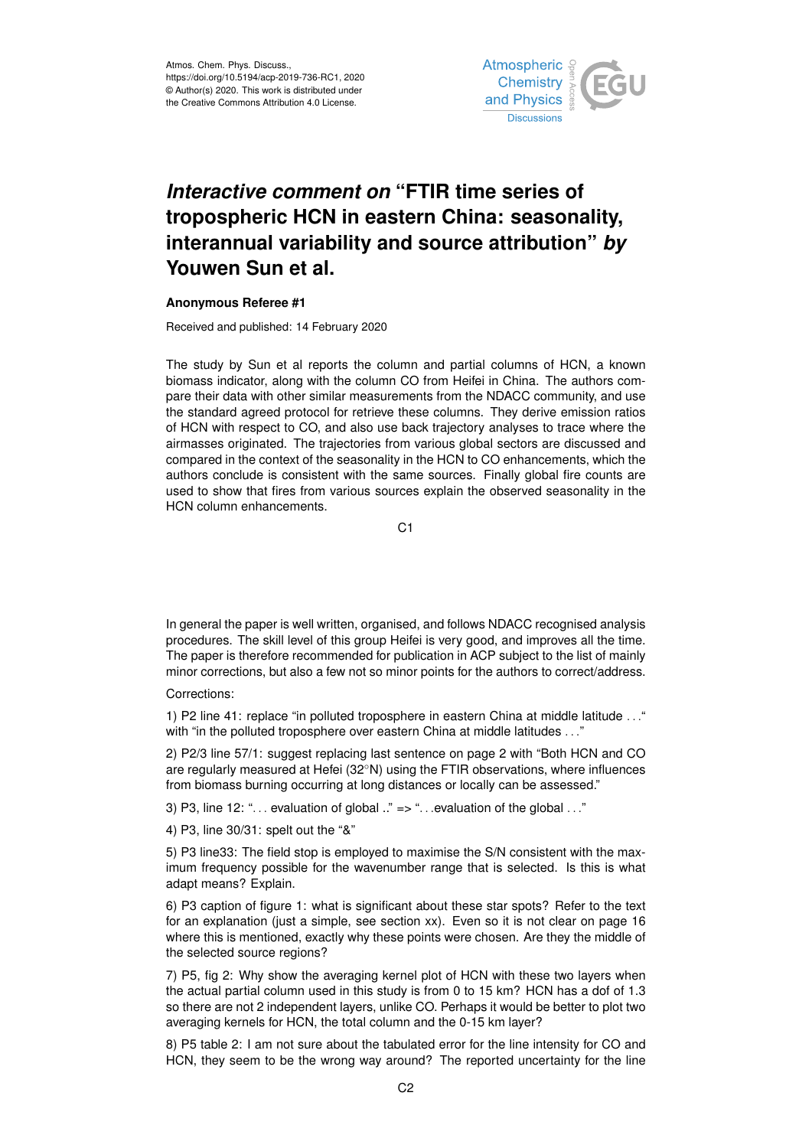

## *Interactive comment on* **"FTIR time series of tropospheric HCN in eastern China: seasonality, interannual variability and source attribution"** *by* **Youwen Sun et al.**

## **Anonymous Referee #1**

Received and published: 14 February 2020

The study by Sun et al reports the column and partial columns of HCN, a known biomass indicator, along with the column CO from Heifei in China. The authors compare their data with other similar measurements from the NDACC community, and use the standard agreed protocol for retrieve these columns. They derive emission ratios of HCN with respect to CO, and also use back trajectory analyses to trace where the airmasses originated. The trajectories from various global sectors are discussed and compared in the context of the seasonality in the HCN to CO enhancements, which the authors conclude is consistent with the same sources. Finally global fire counts are used to show that fires from various sources explain the observed seasonality in the HCN column enhancements.

C<sub>1</sub>

In general the paper is well written, organised, and follows NDACC recognised analysis procedures. The skill level of this group Heifei is very good, and improves all the time. The paper is therefore recommended for publication in ACP subject to the list of mainly minor corrections, but also a few not so minor points for the authors to correct/address.

## Corrections:

1) P2 line 41: replace "in polluted troposphere in eastern China at middle latitude . . ." with "in the polluted troposphere over eastern China at middle latitudes . . ."

2) P2/3 line 57/1: suggest replacing last sentence on page 2 with "Both HCN and CO are regularly measured at Hefei (32◦N) using the FTIR observations, where influences from biomass burning occurring at long distances or locally can be assessed."

3) P3, line 12: " $\dots$  evaluation of global  $\ddots$ " => " $\dots$  evaluation of the global  $\dots$ "

4) P3, line 30/31: spelt out the "&"

5) P3 line33: The field stop is employed to maximise the S/N consistent with the maximum frequency possible for the wavenumber range that is selected. Is this is what adapt means? Explain.

6) P3 caption of figure 1: what is significant about these star spots? Refer to the text for an explanation (just a simple, see section xx). Even so it is not clear on page 16 where this is mentioned, exactly why these points were chosen. Are they the middle of the selected source regions?

7) P5, fig 2: Why show the averaging kernel plot of HCN with these two layers when the actual partial column used in this study is from 0 to 15 km? HCN has a dof of 1.3 so there are not 2 independent layers, unlike CO. Perhaps it would be better to plot two averaging kernels for HCN, the total column and the 0-15 km layer?

8) P5 table 2: I am not sure about the tabulated error for the line intensity for CO and HCN, they seem to be the wrong way around? The reported uncertainty for the line